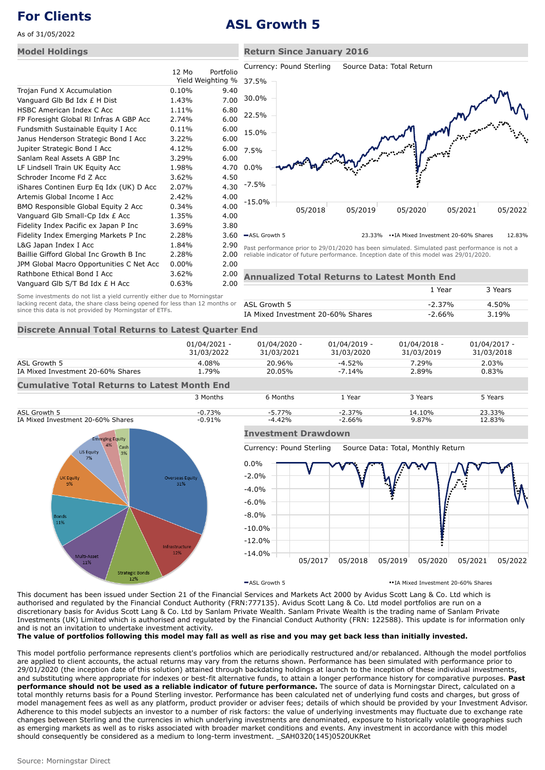As of 31/05/2022

### **Model Holdings**

|                                          | 12 Mo    | Portfolio         |   |
|------------------------------------------|----------|-------------------|---|
|                                          |          | Yield Weighting % |   |
| Trojan Fund X Accumulation               | 0.10%    | 9.40              |   |
| Vanguard Glb Bd Idx £ H Dist             | 1.43%    | 7.00              |   |
| <b>HSBC American Index C Acc</b>         | 1.11%    | 6.80              |   |
| FP Foresight Global RI Infras A GBP Acc  | 2.74%    | 6.00              |   |
| Fundsmith Sustainable Equity I Acc       | $0.11\%$ | 6.00              |   |
| Janus Henderson Strategic Bond I Acc     | 3.22%    | 6.00              |   |
| Jupiter Strategic Bond I Acc             | 4.12%    | 6.00              |   |
| Sanlam Real Assets A GBP Inc             | 3.29%    | 6.00              |   |
| LF Lindsell Train UK Equity Acc          | 1.98%    | 4.70              | 0 |
| Schroder Income Fd Z Acc                 | 3.62%    | 4.50              |   |
| iShares Continen Eurp Eq Idx (UK) D Acc  | 2.07%    | 4.30              |   |
| Artemis Global Income I Acc              | 2.42%    | 4.00              |   |
| BMO Responsible Global Equity 2 Acc      | 0.34%    | 4.00              |   |
| Vanguard Glb Small-Cp Idx £ Acc          | 1.35%    | 4.00              |   |
| Fidelity Index Pacific ex Japan P Inc    | 3.69%    | 3.80              |   |
| Fidelity Index Emerging Markets P Inc    | 2.28%    | 3.60              |   |
| L&G Japan Index I Acc                    | 1.84%    | 2.90              | p |
| Baillie Gifford Global Inc Growth B Inc  | 2.28%    | 2.00              | ľ |
| JPM Global Macro Opportunities C Net Acc | $0.00\%$ | 2.00              |   |
| Rathbone Ethical Bond I Acc              | 3.62%    | 2.00              |   |
| Vanguard GIb S/T Bd Idx £ H Acc          | 0.63%    | 2.00              |   |



ASL Growth 5 23.33% IA Mixed Investment 20-60% Shares 12.83%

 $1$  Vear  $3$  Vears

Past performance prior to 29/01/2020 has been simulated. Simulated past performance is not a reliable indicator of future performance. Inception date of this model was 29/01/2020.

**Annualized Total Returns to Latest Month End**

Some investments do not list a yield currently either due to Morningstar lacking recent data, the share class being opened for less than 12 months or since this data is not provided by Morningstar of ETFs.

|                                   | .      | ------ |
|-----------------------------------|--------|--------|
| ASL Growth 5                      | -2.37% | 4.50%  |
| IA Mixed Investment 20-60% Shares | -2.66% | 3.19%  |

## **Discrete Annual Total Returns to Latest Quarter End**

|                                                     | $01/04/2021 -$<br>31/03/2022 | $01/04/2020 -$<br>31/03/2021 | 01/04/2019 -<br>31/03/2020 | $01/04/2018 -$<br>31/03/2019 | 01/04/2017 -<br>31/03/2018 |
|-----------------------------------------------------|------------------------------|------------------------------|----------------------------|------------------------------|----------------------------|
| ASL Growth 5                                        | 4.08%                        | 20.96%                       | $-4.52%$                   | 7.29%                        | 2.03%                      |
| IA Mixed Investment 20-60% Shares                   | 1.79%                        | 20.05%                       | $-7.14%$                   | 2.89%                        | 0.83%                      |
| <b>Cumulative Total Returns to Latest Month End</b> |                              |                              |                            |                              |                            |
|                                                     | 3 Months                     | 6 Months                     | 1 Year                     | 3 Years                      | 5 Years                    |
| ASL Growth 5                                        | $-0.73%$                     | $-5.77%$                     | $-2.37%$                   | 14.10%                       | 23.33%                     |
| IA Mixed Investment 20-60% Shares                   | $-0.91\%$                    | $-4.42%$                     | $-2.66%$                   | 9.87%                        | 12.83%                     |



### **Investment Drawdown**

Currency: Pound Sterling Source Data: Total, Monthly Return



ASL Growth 5 IA Mixed Investment 20-60% Shares

This document has been issued under Section 21 of the Financial Services and Markets Act 2000 by Avidus Scott Lang & Co. Ltd which is authorised and regulated by the Financial Conduct Authority (FRN:777135). Avidus Scott Lang & Co. Ltd model portfolios are run on a discretionary basis for Avidus Scott Lang & Co. Ltd by Sanlam Private Wealth. Sanlam Private Wealth is the trading name of Sanlam Private Investments (UK) Limited which is authorised and regulated by the Financial Conduct Authority (FRN: 122588). This update is for information only and is not an invitation to undertake investment activity.

**The value of portfolios following this model may fall as well as rise and you may get back less than initially invested.**

This model portfolio performance represents client's portfolios which are periodically restructured and/or rebalanced. Although the model portfolios are applied to client accounts, the actual returns may vary from the returns shown. Performance has been simulated with performance prior to 29/01/2020 (the inception date of this solution) attained through backdating holdings at launch to the inception of these individual investments, and substituting where appropriate for indexes or best-fit alternative funds, to attain a longer performance history for comparative purposes. **Past performance should not be used as a reliable indicator of future performance.** The source of data is Morningstar Direct, calculated on a total monthly returns basis for a Pound Sterling investor. Performance has been calculated net of underlying fund costs and charges, but gross of model management fees as well as any platform, product provider or adviser fees; details of which should be provided by your Investment Advisor. Adherence to this model subjects an investor to a number of risk factors: the value of underlying investments may fluctuate due to exchange rate changes between Sterling and the currencies in which underlying investments are denominated, exposure to historically volatile geographies such as emerging markets as well as to risks associated with broader market conditions and events. Any investment in accordance with this model should consequently be considered as a medium to long-term investment. \_SAH0320(145)0520UKRet

# **For Clients ASL Growth 5**

## **Return Since January 2016**

Currency: Pound Sterling Source Data: Total Return